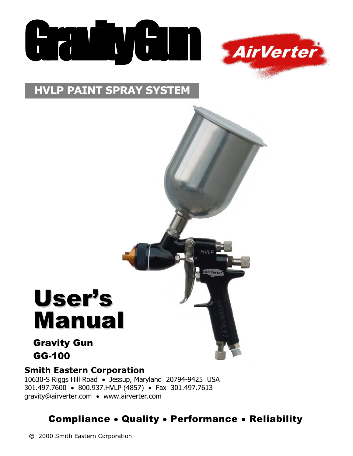



### **HVLP PAINT SPRAY SYSTEM**

# User's Manual

### Gravity Gun GG-100

### **Smith Eastern Corporation**

10630-S Riggs Hill Road . Jessup, Maryland 20794-9425 USA 301.497.7600 • 800.937.HVLP (4857) • Fax 301.497.7613 gravity@airverter.com www.airverter.com

### Compliance . Quality . Performance . Reliability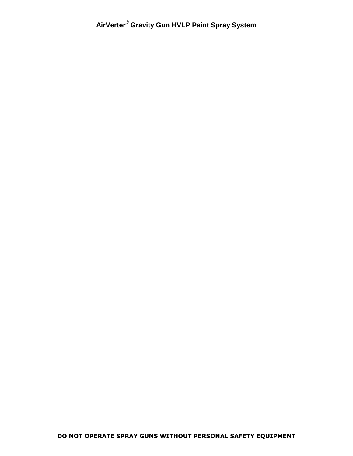**DO NOT OPERATE SPRAY GUNS WITHOUT PERSONAL SAFETY EQUIPMENT**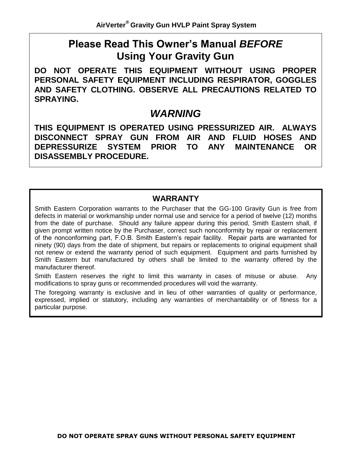### **Please Read This Owner's Manual** *BEFORE* **Using Your Gravity Gun**

**DO NOT OPERATE THIS EQUIPMENT WITHOUT USING PROPER PERSONAL SAFETY EQUIPMENT INCLUDING RESPIRATOR, GOGGLES AND SAFETY CLOTHING. OBSERVE ALL PRECAUTIONS RELATED TO SPRAYING.**

### *WARNING*

**THIS EQUIPMENT IS OPERATED USING PRESSURIZED AIR. ALWAYS DISCONNECT SPRAY GUN FROM AIR AND FLUID HOSES AND DEPRESSURIZE SYSTEM PRIOR TO ANY MAINTENANCE OR DISASSEMBLY PROCEDURE.**

### **WARRANTY**

Smith Eastern Corporation warrants to the Purchaser that the GG-100 Gravity Gun is free from defects in material or workmanship under normal use and service for a period of twelve (12) months from the date of purchase. Should any failure appear during this period, Smith Eastern shall, if given prompt written notice by the Purchaser, correct such nonconformity by repair or replacement of the nonconforming part, F.O.B. Smith Eastern's repair facility. Repair parts are warranted for ninety (90) days from the date of shipment, but repairs or replacements to original equipment shall not renew or extend the warranty period of such equipment. Equipment and parts furnished by Smith Eastern but manufactured by others shall be limited to the warranty offered by the manufacturer thereof.

Smith Eastern reserves the right to limit this warranty in cases of misuse or abuse. Any modifications to spray guns or recommended procedures will void the warranty.

The foregoing warranty is exclusive and in lieu of other warranties of quality or performance, expressed, implied or statutory, including any warranties of merchantability or of fitness for a particular purpose.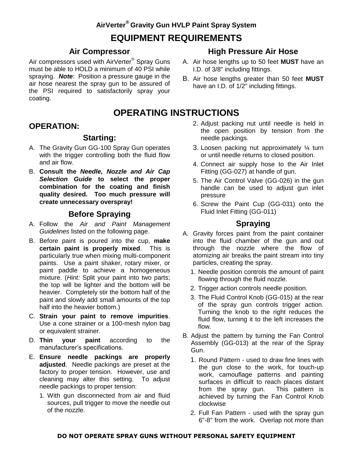### **AirVerter® Gravity Gun HVLP Paint Spray System EQUIPMENT REQUIREMENTS**

#### **Air Compressor**

Air compressors used with AirVerter<sup>®</sup> Spray Guns must be able to HOLD a minimum of 40 PSI while spraying.*Note*: Position a pressure gauge in the air hose nearest the spray gun to be assured of the PSI required to satisfactorily spray your coating.

### **OPERATING INSTRUCTIONS**

#### **OPERATION:**

#### **Starting:**

- A. The Gravity Gun GG-100 Spray Gun operates with the trigger controlling both the fluid flow and air flow.
- B. **Consult the** *Needle, Nozzle and Air Cap Selection Guide* **to select the proper combination for the coating and finish quality desired. Too much pressure will create unnecessary overspray!**

### **Before Spraying**

- A. Follow the *Air and Paint Management Guidelines* listed on the following page.
- B. Before paint is poured into the cup, **make certain paint is properly mixed**. This is particularly true when mixing multi-component paints. Use a paint shaker, rotary mixer, or paint paddle to achieve a homogeneous mixture. (*Hint:* Split your paint into two parts; the top will be lighter and the bottom will be heavier. Completely stir the bottom half of the paint and slowly add small amounts of the top half into the heavier bottom.)
- C. **Strain your paint to remove impurities**. Use a cone strainer or a 100-mesh nylon bag or equivalent strainer.
- D. **Thin your paint** according to the manufacturer's specifications.
- E. **Ensure needle packings are properly adjusted**. Needle packings are preset at the factory to proper tension. However, use and cleaning may alter this setting. To adjust needle packings to proper tension:
	- 1. With gun disconnected from air and fluid sources, pull trigger to move the needle out of the nozzle.

#### **High Pressure Air Hose**

- A. Air hose lengths up to 50 feet **MUST** have an I.D. of 3/8" including fittings.
- B. Air hose lengths greater than 50 feet **MUST** have an I.D. of 1/2" including fittings.
	- 2. Adjust packing nut until needle is held in the open position by tension from the needle packings.
	- 3. Loosen packing nut approximately ¼ turn or until needle returns to closed position.
	- 4. Connect air supply hose to the Air Inlet Fitting (GG-027) at handle of gun.
	- 5. The Air Control Valve (GG-026) in the gun handle can be used to adjust gun inlet pressure
	- 6. Screw the Paint Cup (GG-031) onto the Fluid Inlet Fitting (GG-011)

### **Spraying**

- A. Gravity forces paint from the paint container into the fluid chamber of the gun and out through the nozzle where the flow of atomizing air breaks the paint stream into tiny particles, creating the spray.
	- 1. Needle position controls the amount of paint flowing through the fluid nozzle.
	- 2. Trigger action controls needle position.
	- 3. The Fluid Control Knob (GG-015) at the rear of the spray gun controls trigger action. Turning the knob to the right reduces the fluid flow, turning it to the left increases the flow.
- B. Adjust the pattern by turning the Fan Control Assembly (GG-013) at the rear of the Spray Gun.
	- 1. Round Pattern used to draw fine lines with the gun close to the work, for touch-up work, camouflage patterns and painting surfaces in difficult to reach places distant from the spray gun. This pattern is achieved by turning the Fan Control Knob clockwise
	- 2. Full Fan Pattern used with the spray gun 6"-8" from the work. Overlap not more than

#### **DO NOT OPERATE SPRAY GUNS WITHOUT PERSONAL SAFETY EQUIPMENT**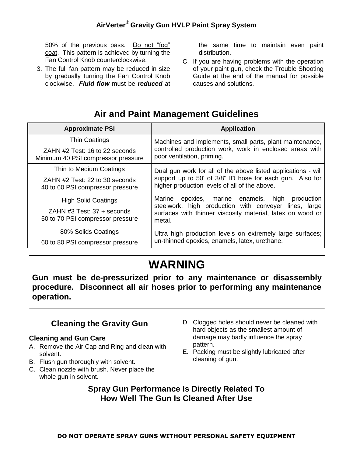50% of the previous pass. Do not "fog" coat. This pattern is achieved by turning the Fan Control Knob counterclockwise.

3. The full fan pattern may be reduced in size by gradually turning the Fan Control Knob clockwise. *Fluid flow* must be *reduced* at the same time to maintain even paint distribution.

C. If you are having problems with the operation of your paint gun, check the Trouble Shooting Guide at the end of the manual for possible causes and solutions.

### **Air and Paint Management Guidelines**

| <b>Approximate PSI</b>                                                                         | <b>Application</b>                                                                                                                                                                  |
|------------------------------------------------------------------------------------------------|-------------------------------------------------------------------------------------------------------------------------------------------------------------------------------------|
| <b>Thin Coatings</b>                                                                           | Machines and implements, small parts, plant maintenance,                                                                                                                            |
| ZAHN #2 Test: 16 to 22 seconds<br>Minimum 40 PSI compressor pressure                           | controlled production work, work in enclosed areas with<br>poor ventilation, priming.                                                                                               |
| Thin to Medium Coatings                                                                        | Dual gun work for all of the above listed applications - will                                                                                                                       |
| ZAHN #2 Test: 22 to 30 seconds<br>40 to 60 PSI compressor pressure                             | support up to 50' of 3/8" ID hose for each gun. Also for<br>higher production levels of all of the above.                                                                           |
| <b>High Solid Coatings</b><br>ZAHN #3 Test: $37 +$ seconds<br>50 to 70 PSI compressor pressure | epoxies, marine enamels, high production<br>Marine<br>steelwork, high production with conveyer lines, large<br>surfaces with thinner viscosity material, latex on wood or<br>metal. |
| 80% Solids Coatings                                                                            | Ultra high production levels on extremely large surfaces;                                                                                                                           |
| 60 to 80 PSI compressor pressure                                                               | un-thinned epoxies, enamels, latex, urethane.                                                                                                                                       |

## **WARNING**

**Gun must be de-pressurized prior to any maintenance or disassembly procedure. Disconnect all air hoses prior to performing any maintenance operation.**

### **Cleaning the Gravity Gun**

#### **Cleaning and Gun Care**

- A. Remove the Air Cap and Ring and clean with solvent.
- B. Flush gun thoroughly with solvent.
- C. Clean nozzle with brush. Never place the whole gun in solvent.
- D. Clogged holes should never be cleaned with hard objects as the smallest amount of damage may badly influence the spray pattern.
- E. Packing must be slightly lubricated after cleaning of gun.

### **Spray Gun Performance Is Directly Related To How Well The Gun Is Cleaned After Use**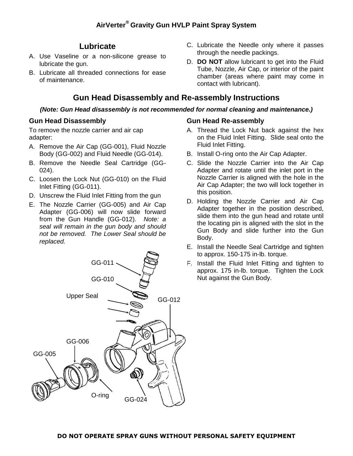#### **Lubricate**

- A. Use Vaseline or a non-silicone grease to lubricate the gun.
- B. Lubricate all threaded connections for ease of maintenance.

### **Gun Head Disassembly and Re-assembly Instructions**

#### *(Note: Gun Head disassembly is not recommended for normal cleaning and maintenance.)*

#### **Gun Head Disassembly**

To remove the nozzle carrier and air cap adapter:

- A. Remove the Air Cap (GG-001), Fluid Nozzle Body (GG-002) and Fluid Needle (GG-014).
- B. Remove the Needle Seal Cartridge (GG-024).
- C. Loosen the Lock Nut (GG-010) on the Fluid Inlet Fitting (GG-011).
- D. Unscrew the Fluid Inlet Fitting from the gun
- E. The Nozzle Carrier (GG-005) and Air Cap Adapter (GG-006) will now slide forward from the Gun Handle (GG-012). *Note: a seal will remain in the gun body and should not be removed. The Lower Seal should be replaced.*



through the needle packings.

#### **Gun Head Re-assembly**

contact with lubricant).

A. Thread the Lock Nut back against the hex on the Fluid Inlet Fitting. Slide seal onto the Fluid Inlet Fitting.

C. Lubricate the Needle only where it passes

D. **DO NOT** allow lubricant to get into the Fluid Tube, Nozzle, Air Cap, or interior of the paint chamber (areas where paint may come in

- B. Install O-ring onto the Air Cap Adapter.
- C. Slide the Nozzle Carrier into the Air Cap Adapter and rotate until the inlet port in the Nozzle Carrier is aligned with the hole in the Air Cap Adapter; the two will lock together in this position.
- D. Holding the Nozzle Carrier and Air Cap Adapter together in the position described, slide them into the gun head and rotate until the locating pin is aligned with the slot in the Gun Body and slide further into the Gun Body.
- E. Install the Needle Seal Cartridge and tighten to approx. 150-175 in-lb. torque.
- F. Install the Fluid Inlet Fitting and tighten to approx. 175 in-lb. torque. Tighten the Lock Nut against the Gun Body.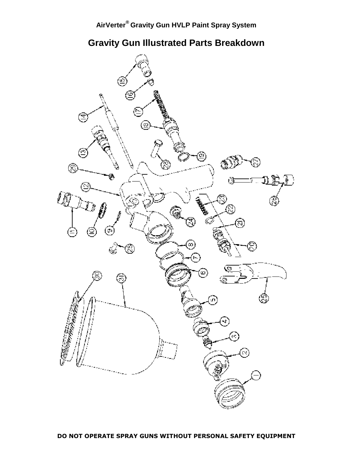**Gravity Gun Illustrated Parts Breakdown**

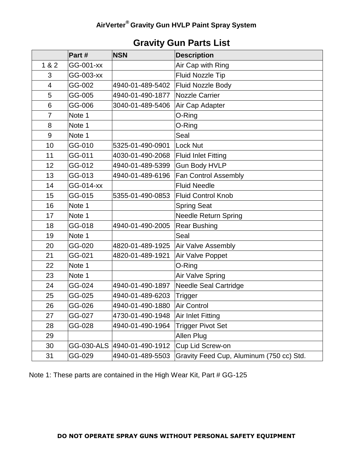### **AirVerter® Gravity Gun HVLP Paint Spray System**

### **Gravity Gun Parts List**

|                | Part#             | <b>NSN</b>       | <b>Description</b>                       |
|----------------|-------------------|------------------|------------------------------------------|
| 1 & 2          | GG-001-xx         |                  | Air Cap with Ring                        |
| 3              | GG-003-xx         |                  | <b>Fluid Nozzle Tip</b>                  |
| $\overline{4}$ | GG-002            | 4940-01-489-5402 | <b>Fluid Nozzle Body</b>                 |
| 5              | GG-005            | 4940-01-490-1877 | <b>Nozzle Carrier</b>                    |
| 6              | GG-006            | 3040-01-489-5406 | Air Cap Adapter                          |
| $\overline{7}$ | Note 1            |                  | O-Ring                                   |
| 8              | Note 1            |                  | O-Ring                                   |
| 9              | Note 1            |                  | Seal                                     |
| 10             | GG-010            | 5325-01-490-0901 | Lock Nut                                 |
| 11             | GG-011            | 4030-01-490-2068 | <b>Fluid Inlet Fitting</b>               |
| 12             | GG-012            | 4940-01-489-5399 | <b>Gun Body HVLP</b>                     |
| 13             | GG-013            | 4940-01-489-6196 | <b>Fan Control Assembly</b>              |
| 14             | GG-014-xx         |                  | <b>Fluid Needle</b>                      |
| 15             | GG-015            | 5355-01-490-0853 | <b>Fluid Control Knob</b>                |
| 16             | Note 1            |                  | <b>Spring Seat</b>                       |
| 17             | Note 1            |                  | <b>Needle Return Spring</b>              |
| 18             | GG-018            | 4940-01-490-2005 | <b>Rear Bushing</b>                      |
| 19             | Note 1            |                  | Seal                                     |
| 20             | GG-020            | 4820-01-489-1925 | <b>Air Valve Assembly</b>                |
| 21             | GG-021            | 4820-01-489-1921 | <b>Air Valve Poppet</b>                  |
| 22             | Note 1            |                  | O-Ring                                   |
| 23             | Note 1            |                  | <b>Air Valve Spring</b>                  |
| 24             | GG-024            | 4940-01-490-1897 | <b>Needle Seal Cartridge</b>             |
| 25             | GG-025            | 4940-01-489-6203 | Trigger                                  |
| 26             | GG-026            | 4940-01-490-1880 | <b>Air Control</b>                       |
| 27             | GG-027            | 4730-01-490-1948 | Air Inlet Fitting                        |
| 28             | GG-028            | 4940-01-490-1964 | <b>Trigger Pivot Set</b>                 |
| 29             |                   |                  | Allen Plug                               |
| 30             | <b>GG-030-ALS</b> | 4940-01-490-1912 | Cup Lid Screw-on                         |
| 31             | GG-029            | 4940-01-489-5503 | Gravity Feed Cup, Aluminum (750 cc) Std. |

Note 1: These parts are contained in the High Wear Kit, Part # GG-125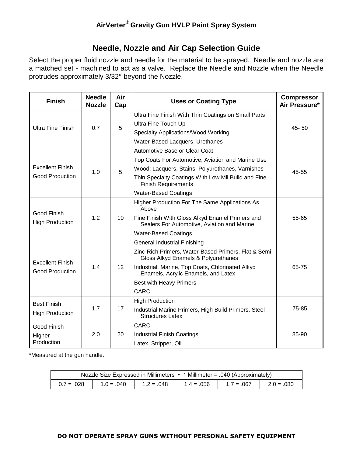### **AirVerter® Gravity Gun HVLP Paint Spray System**

### **Needle, Nozzle and Air Cap Selection Guide**

Select the proper fluid nozzle and needle for the material to be sprayed. Needle and nozzle are a matched set - machined to act as a valve. Replace the Needle and Nozzle when the Needle protrudes approximately 3/32" beyond the Nozzle.

| <b>Finish</b>                                     | <b>Needle</b><br><b>Nozzle</b> | Air<br>Cap      | <b>Uses or Coating Type</b>                                                                    | <b>Compressor</b><br>Air Pressure* |  |
|---------------------------------------------------|--------------------------------|-----------------|------------------------------------------------------------------------------------------------|------------------------------------|--|
| <b>Ultra Fine Finish</b>                          |                                |                 | Ultra Fine Finish With Thin Coatings on Small Parts                                            |                                    |  |
|                                                   |                                |                 | Ultra Fine Touch Up                                                                            | 45-50                              |  |
|                                                   | 0.7                            | 5               | Specialty Applications/Wood Working                                                            |                                    |  |
|                                                   |                                |                 | Water-Based Lacquers, Urethanes                                                                |                                    |  |
|                                                   |                                |                 | Automotive Base or Clear Coat                                                                  |                                    |  |
|                                                   |                                | 5               | Top Coats For Automotive, Aviation and Marine Use                                              | 45-55                              |  |
| <b>Excellent Finish</b>                           | 1.0                            |                 | Wood: Lacquers, Stains, Polyurethanes, Varnishes                                               |                                    |  |
| Good Production                                   |                                |                 | Thin Specialty Coatings With Low Mil Build and Fine<br><b>Finish Requirements</b>              |                                    |  |
|                                                   |                                |                 | <b>Water-Based Coatings</b>                                                                    |                                    |  |
|                                                   |                                |                 | Higher Production For The Same Applications As<br>Above                                        |                                    |  |
| Good Finish<br><b>High Production</b>             | 1.2                            | 10 <sup>1</sup> | Fine Finish With Gloss Alkyd Enamel Primers and<br>Sealers For Automotive, Aviation and Marine | $55 - 65$                          |  |
|                                                   |                                |                 | <b>Water-Based Coatings</b>                                                                    |                                    |  |
|                                                   |                                |                 | <b>General Industrial Finishing</b>                                                            |                                    |  |
|                                                   |                                |                 | Zinc-Rich Primers, Water-Based Primers, Flat & Semi-<br>Gloss Alkyd Enamels & Polyurethanes    |                                    |  |
| <b>Excellent Finish</b><br><b>Good Production</b> | 1.4                            | 12 <sup>2</sup> | Industrial, Marine, Top Coats, Chlorinated Alkyd<br>Enamels, Acrylic Enamels, and Latex        | 65-75                              |  |
|                                                   |                                |                 | Best with Heavy Primers                                                                        |                                    |  |
|                                                   |                                |                 | <b>CARC</b>                                                                                    |                                    |  |
| <b>Best Finish</b>                                |                                |                 | <b>High Production</b>                                                                         |                                    |  |
| <b>High Production</b>                            | 1.7                            | 17              | Industrial Marine Primers, High Build Primers, Steel<br><b>Structures Latex</b>                | 75-85                              |  |
| Good Finish                                       |                                |                 | <b>CARC</b>                                                                                    |                                    |  |
| Higher                                            | 2.0                            | 20              | <b>Industrial Finish Coatings</b>                                                              | 85-90                              |  |
| Production                                        |                                |                 | Latex, Stripper, Oil                                                                           |                                    |  |

\*Measured at the gun handle.

| Nozzle Size Expressed in Millimeters • 1 Millimeter = .040 (Approximately) |              |              |              |              |              |
|----------------------------------------------------------------------------|--------------|--------------|--------------|--------------|--------------|
| $0.7 = .028$                                                               | $1.0 = .040$ | $1.2 = .048$ | $1.4 = .056$ | $1.7 = .067$ | $2.0 = .080$ |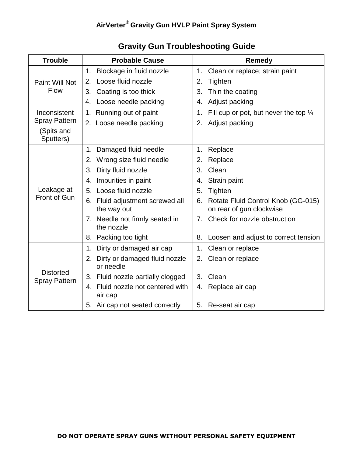| <b>Trouble</b>                           | <b>Probable Cause</b>                            | Remedy                                                               |
|------------------------------------------|--------------------------------------------------|----------------------------------------------------------------------|
|                                          | 1. Blockage in fluid nozzle                      | 1. Clean or replace; strain paint                                    |
| Paint Will Not<br><b>Flow</b>            | Loose fluid nozzle<br>$2_{-}$                    | Tighten<br>2.                                                        |
|                                          | 3. Coating is too thick                          | Thin the coating<br>3.                                               |
|                                          | Loose needle packing<br>4.                       | Adjust packing<br>4.                                                 |
| Inconsistent                             | 1. Running out of paint                          | Fill cup or pot, but never the top $\frac{1}{4}$<br>1.               |
| <b>Spray Pattern</b>                     | 2. Loose needle packing                          | Adjust packing<br>2.                                                 |
| (Spits and<br>Sputters)                  |                                                  |                                                                      |
|                                          | 1. Damaged fluid needle                          | Replace<br>1.                                                        |
|                                          | 2. Wrong size fluid needle                       | Replace<br>2.                                                        |
|                                          | Dirty fluid nozzle<br>3.                         | Clean<br>3.                                                          |
|                                          | 4. Impurities in paint                           | Strain paint<br>4.                                                   |
| Leakage at                               | 5. Loose fluid nozzle                            | Tighten<br>5.                                                        |
| <b>Front of Gun</b>                      | 6. Fluid adjustment screwed all<br>the way out   | Rotate Fluid Control Knob (GG-015)<br>6.<br>on rear of gun clockwise |
|                                          | 7. Needle not firmly seated in<br>the nozzle     | 7. Check for nozzle obstruction                                      |
|                                          | 8. Packing too tight                             | Loosen and adjust to correct tension<br>8.                           |
|                                          | Dirty or damaged air cap<br>1.                   | 1. Clean or replace                                                  |
| <b>Distorted</b><br><b>Spray Pattern</b> | Dirty or damaged fluid nozzle<br>2.<br>or needle | Clean or replace<br>2.                                               |
|                                          | 3. Fluid nozzle partially clogged                | Clean<br>3.                                                          |
|                                          | 4. Fluid nozzle not centered with<br>air cap     | 4. Replace air cap                                                   |
|                                          | 5. Air cap not seated correctly                  | 5. Re-seat air cap                                                   |

### **Gravity Gun Troubleshooting Guide**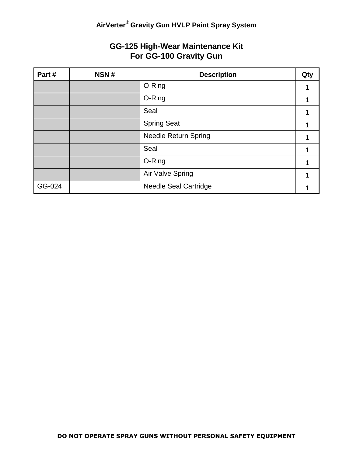| GG-125 High-Wear Maintenance Kit |  |
|----------------------------------|--|
| For GG-100 Gravity Gun           |  |

| Part#  | NSN# | <b>Description</b>           | Qty |
|--------|------|------------------------------|-----|
|        |      | O-Ring                       |     |
|        |      | O-Ring                       |     |
|        |      | Seal                         |     |
|        |      | <b>Spring Seat</b>           |     |
|        |      | <b>Needle Return Spring</b>  |     |
|        |      | Seal                         |     |
|        |      | O-Ring                       |     |
|        |      | Air Valve Spring             |     |
| GG-024 |      | <b>Needle Seal Cartridge</b> |     |